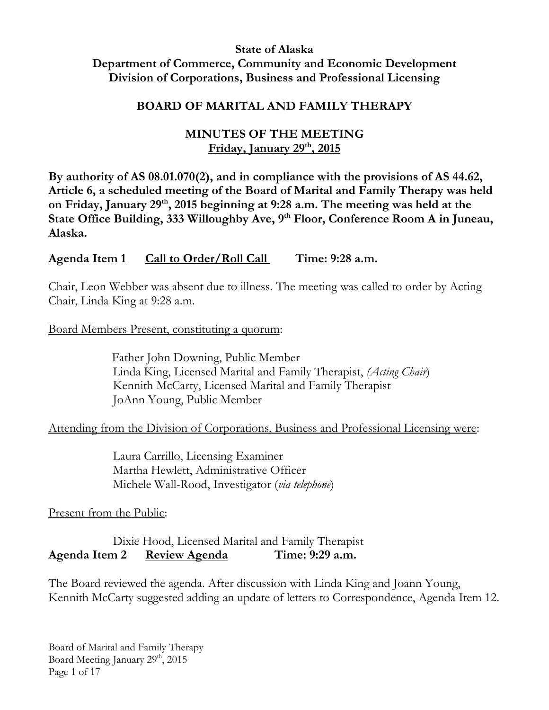#### **State of Alaska Department of Commerce, Community and Economic Development Division of Corporations, Business and Professional Licensing**

### **BOARD OF MARITAL AND FAMILY THERAPY**

## **MINUTES OF THE MEETING Friday, January 29th, 2015**

**By authority of AS 08.01.070(2), and in compliance with the provisions of AS 44.62, Article 6, a scheduled meeting of the Board of Marital and Family Therapy was held on Friday, January 29th, 2015 beginning at 9:28 a.m. The meeting was held at the State Office Building, 333 Willoughby Ave, 9th Floor, Conference Room A in Juneau, Alaska.**

**Agenda Item 1 Call to Order/Roll Call Time: 9:28 a.m.**

Chair, Leon Webber was absent due to illness. The meeting was called to order by Acting Chair, Linda King at 9:28 a.m.

Board Members Present, constituting a quorum:

 Father John Downing, Public Member Linda King, Licensed Marital and Family Therapist, *(Acting Chair*) Kennith McCarty, Licensed Marital and Family Therapist JoAnn Young, Public Member

### Attending from the Division of Corporations, Business and Professional Licensing were:

Laura Carrillo, Licensing Examiner Martha Hewlett, Administrative Officer Michele Wall-Rood, Investigator (*via telephone*)

### Present from the Public:

Dixie Hood, Licensed Marital and Family Therapist **Agenda Item 2 Review Agenda Time: 9:29 a.m.**

The Board reviewed the agenda. After discussion with Linda King and Joann Young, Kennith McCarty suggested adding an update of letters to Correspondence, Agenda Item 12.

Board of Marital and Family Therapy Board Meeting January 29th, 2015 Page 1 of 17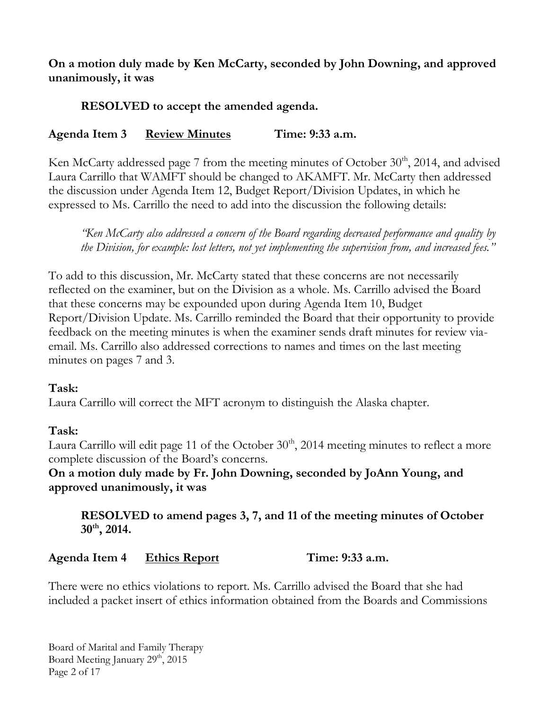## **On a motion duly made by Ken McCarty, seconded by John Downing, and approved unanimously, it was**

## **RESOLVED to accept the amended agenda.**

## **Agenda Item 3 Review Minutes Time: 9:33 a.m.**

Ken McCarty addressed page 7 from the meeting minutes of October  $30<sup>th</sup>$ , 2014, and advised Laura Carrillo that WAMFT should be changed to AKAMFT. Mr. McCarty then addressed the discussion under Agenda Item 12, Budget Report/Division Updates, in which he expressed to Ms. Carrillo the need to add into the discussion the following details:

*"Ken McCarty also addressed a concern of the Board regarding decreased performance and quality by the Division, for example: lost letters, not yet implementing the supervision from, and increased fees."*

To add to this discussion, Mr. McCarty stated that these concerns are not necessarily reflected on the examiner, but on the Division as a whole. Ms. Carrillo advised the Board that these concerns may be expounded upon during Agenda Item 10, Budget Report/Division Update. Ms. Carrillo reminded the Board that their opportunity to provide feedback on the meeting minutes is when the examiner sends draft minutes for review viaemail. Ms. Carrillo also addressed corrections to names and times on the last meeting minutes on pages 7 and 3.

### **Task:**

Laura Carrillo will correct the MFT acronym to distinguish the Alaska chapter.

### **Task:**

Laura Carrillo will edit page 11 of the October  $30<sup>th</sup>$ , 2014 meeting minutes to reflect a more complete discussion of the Board's concerns.

**On a motion duly made by Fr. John Downing, seconded by JoAnn Young, and approved unanimously, it was**

**RESOLVED to amend pages 3, 7, and 11 of the meeting minutes of October 30th, 2014.** 

### **Agenda Item 4 Ethics Report Time: 9:33 a.m.**

There were no ethics violations to report. Ms. Carrillo advised the Board that she had included a packet insert of ethics information obtained from the Boards and Commissions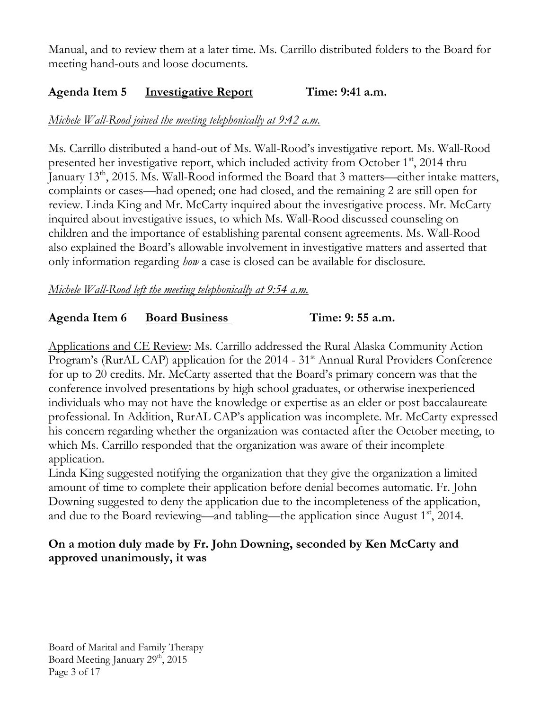Manual, and to review them at a later time. Ms. Carrillo distributed folders to the Board for meeting hand-outs and loose documents.

# **Agenda Item 5 Investigative Report Time: 9:41 a.m.**

# *Michele Wall-Rood joined the meeting telephonically at 9:42 a.m.*

Ms. Carrillo distributed a hand-out of Ms. Wall-Rood's investigative report. Ms. Wall-Rood presented her investigative report, which included activity from October 1<sup>st</sup>, 2014 thru January 13<sup>th</sup>, 2015. Ms. Wall-Rood informed the Board that 3 matters—either intake matters, complaints or cases—had opened; one had closed, and the remaining 2 are still open for review. Linda King and Mr. McCarty inquired about the investigative process. Mr. McCarty inquired about investigative issues, to which Ms. Wall-Rood discussed counseling on children and the importance of establishing parental consent agreements. Ms. Wall-Rood also explained the Board's allowable involvement in investigative matters and asserted that only information regarding *how* a case is closed can be available for disclosure.

### *Michele Wall-Rood left the meeting telephonically at 9:54 a.m.*

## **Agenda Item 6 Board Business Time: 9: 55 a.m.**

Applications and CE Review: Ms. Carrillo addressed the Rural Alaska Community Action Program's (RurAL CAP) application for the 2014 - 31<sup>st</sup> Annual Rural Providers Conference for up to 20 credits. Mr. McCarty asserted that the Board's primary concern was that the conference involved presentations by high school graduates, or otherwise inexperienced individuals who may not have the knowledge or expertise as an elder or post baccalaureate professional. In Addition, RurAL CAP's application was incomplete. Mr. McCarty expressed his concern regarding whether the organization was contacted after the October meeting, to which Ms. Carrillo responded that the organization was aware of their incomplete application.

Linda King suggested notifying the organization that they give the organization a limited amount of time to complete their application before denial becomes automatic. Fr. John Downing suggested to deny the application due to the incompleteness of the application, and due to the Board reviewing—and tabling—the application since August  $1<sup>st</sup>$ , 2014.

### **On a motion duly made by Fr. John Downing, seconded by Ken McCarty and approved unanimously, it was**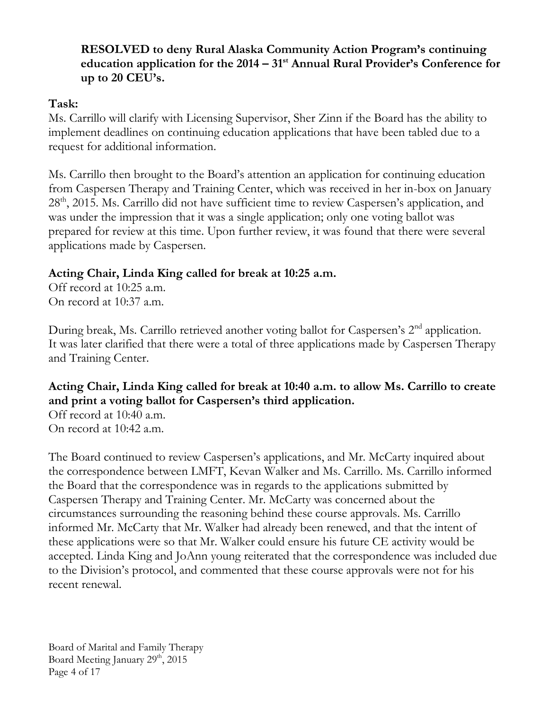## **RESOLVED to deny Rural Alaska Community Action Program's continuing education application for the 2014 – 31st Annual Rural Provider's Conference for up to 20 CEU's.**

## **Task:**

Ms. Carrillo will clarify with Licensing Supervisor, Sher Zinn if the Board has the ability to implement deadlines on continuing education applications that have been tabled due to a request for additional information.

Ms. Carrillo then brought to the Board's attention an application for continuing education from Caspersen Therapy and Training Center, which was received in her in-box on January 28<sup>th</sup>, 2015. Ms. Carrillo did not have sufficient time to review Caspersen's application, and was under the impression that it was a single application; only one voting ballot was prepared for review at this time. Upon further review, it was found that there were several applications made by Caspersen.

# **Acting Chair, Linda King called for break at 10:25 a.m.**

Off record at 10:25 a.m. On record at 10:37 a.m.

During break, Ms. Carrillo retrieved another voting ballot for Caspersen's 2<sup>nd</sup> application. It was later clarified that there were a total of three applications made by Caspersen Therapy and Training Center.

# **Acting Chair, Linda King called for break at 10:40 a.m. to allow Ms. Carrillo to create and print a voting ballot for Caspersen's third application.**

Off record at 10:40 a.m. On record at 10:42 a.m.

The Board continued to review Caspersen's applications, and Mr. McCarty inquired about the correspondence between LMFT, Kevan Walker and Ms. Carrillo. Ms. Carrillo informed the Board that the correspondence was in regards to the applications submitted by Caspersen Therapy and Training Center. Mr. McCarty was concerned about the circumstances surrounding the reasoning behind these course approvals. Ms. Carrillo informed Mr. McCarty that Mr. Walker had already been renewed, and that the intent of these applications were so that Mr. Walker could ensure his future CE activity would be accepted. Linda King and JoAnn young reiterated that the correspondence was included due to the Division's protocol, and commented that these course approvals were not for his recent renewal.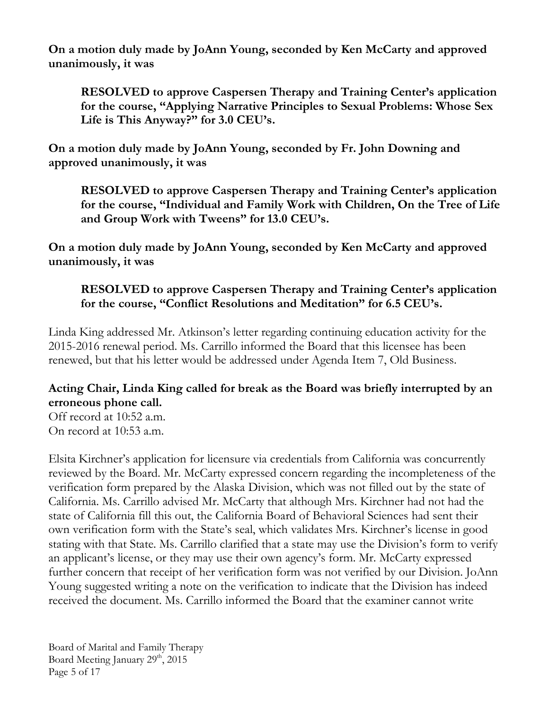**On a motion duly made by JoAnn Young, seconded by Ken McCarty and approved unanimously, it was**

**RESOLVED to approve Caspersen Therapy and Training Center's application for the course, "Applying Narrative Principles to Sexual Problems: Whose Sex Life is This Anyway?" for 3.0 CEU's.**

**On a motion duly made by JoAnn Young, seconded by Fr. John Downing and approved unanimously, it was**

**RESOLVED to approve Caspersen Therapy and Training Center's application for the course, "Individual and Family Work with Children, On the Tree of Life and Group Work with Tweens" for 13.0 CEU's.**

**On a motion duly made by JoAnn Young, seconded by Ken McCarty and approved unanimously, it was**

**RESOLVED to approve Caspersen Therapy and Training Center's application for the course, "Conflict Resolutions and Meditation" for 6.5 CEU's.**

Linda King addressed Mr. Atkinson's letter regarding continuing education activity for the 2015-2016 renewal period. Ms. Carrillo informed the Board that this licensee has been renewed, but that his letter would be addressed under Agenda Item 7, Old Business.

# **Acting Chair, Linda King called for break as the Board was briefly interrupted by an erroneous phone call.**

Off record at 10:52 a.m. On record at 10:53 a.m.

Elsita Kirchner's application for licensure via credentials from California was concurrently reviewed by the Board. Mr. McCarty expressed concern regarding the incompleteness of the verification form prepared by the Alaska Division, which was not filled out by the state of California. Ms. Carrillo advised Mr. McCarty that although Mrs. Kirchner had not had the state of California fill this out, the California Board of Behavioral Sciences had sent their own verification form with the State's seal, which validates Mrs. Kirchner's license in good stating with that State. Ms. Carrillo clarified that a state may use the Division's form to verify an applicant's license, or they may use their own agency's form. Mr. McCarty expressed further concern that receipt of her verification form was not verified by our Division. JoAnn Young suggested writing a note on the verification to indicate that the Division has indeed received the document. Ms. Carrillo informed the Board that the examiner cannot write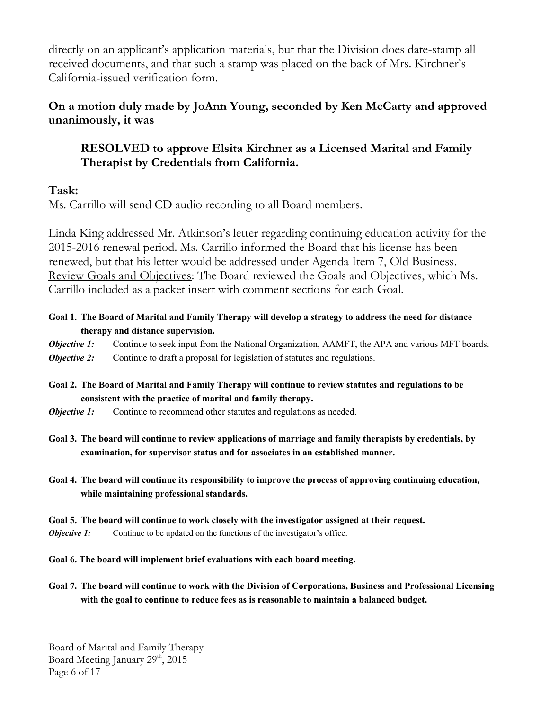directly on an applicant's application materials, but that the Division does date-stamp all received documents, and that such a stamp was placed on the back of Mrs. Kirchner's California-issued verification form.

## **On a motion duly made by JoAnn Young, seconded by Ken McCarty and approved unanimously, it was**

## **RESOLVED to approve Elsita Kirchner as a Licensed Marital and Family Therapist by Credentials from California.**

#### **Task:**

Ms. Carrillo will send CD audio recording to all Board members.

Linda King addressed Mr. Atkinson's letter regarding continuing education activity for the 2015-2016 renewal period. Ms. Carrillo informed the Board that his license has been renewed, but that his letter would be addressed under Agenda Item 7, Old Business. Review Goals and Objectives: The Board reviewed the Goals and Objectives, which Ms. Carrillo included as a packet insert with comment sections for each Goal.

#### **Goal 1. The Board of Marital and Family Therapy will develop a strategy to address the need for distance therapy and distance supervision.**

*Objective 1:* Continue to seek input from the National Organization, AAMFT, the APA and various MFT boards. *Objective 2:* Continue to draft a proposal for legislation of statutes and regulations.

- **Goal 2. The Board of Marital and Family Therapy will continue to review statutes and regulations to be consistent with the practice of marital and family therapy.**
- *Objective 1:* Continue to recommend other statutes and regulations as needed.

**Goal 3. The board will continue to review applications of marriage and family therapists by credentials, by examination, for supervisor status and for associates in an established manner.**

**Goal 4. The board will continue its responsibility to improve the process of approving continuing education, while maintaining professional standards.**

#### **Goal 5. The board will continue to work closely with the investigator assigned at their request.**

*Objective 1:* Continue to be updated on the functions of the investigator's office.

**Goal 6. The board will implement brief evaluations with each board meeting.** 

**Goal 7. The board will continue to work with the Division of Corporations, Business and Professional Licensing with the goal to continue to reduce fees as is reasonable to maintain a balanced budget.**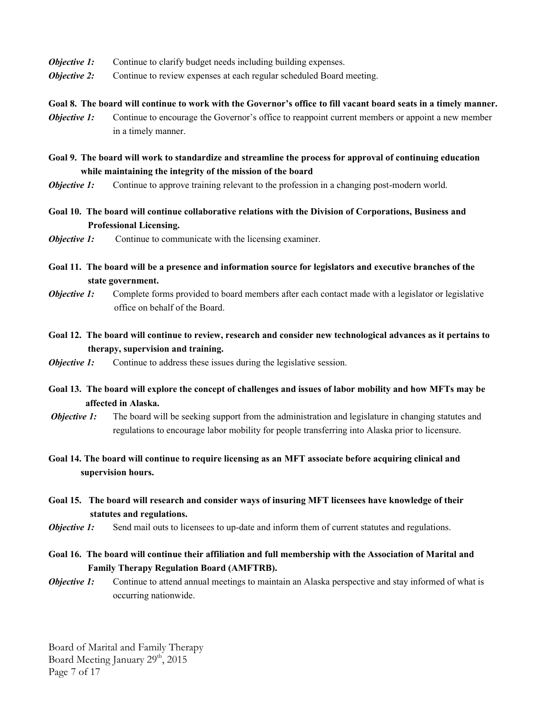- *Objective 1:* Continue to clarify budget needs including building expenses.
- *Objective 2:* Continue to review expenses at each regular scheduled Board meeting.
- **Goal 8. The board will continue to work with the Governor's office to fill vacant board seats in a timely manner.**
- *Objective 1:* Continue to encourage the Governor's office to reappoint current members or appoint a new member in a timely manner.
- **Goal 9. The board will work to standardize and streamline the process for approval of continuing education while maintaining the integrity of the mission of the board**
- *Objective 1:* Continue to approve training relevant to the profession in a changing post-modern world.
- **Goal 10. The board will continue collaborative relations with the Division of Corporations, Business and Professional Licensing.**
- *Objective 1:* Continue to communicate with the licensing examiner.
- **Goal 11. The board will be a presence and information source for legislators and executive branches of the state government.**
- *Objective 1:* Complete forms provided to board members after each contact made with a legislator or legislative office on behalf of the Board.
- **Goal 12. The board will continue to review, research and consider new technological advances as it pertains to therapy, supervision and training.**
- *Objective 1:* Continue to address these issues during the legislative session.
- **Goal 13. The board will explore the concept of challenges and issues of labor mobility and how MFTs may be affected in Alaska.**
- *Objective 1:* The board will be seeking support from the administration and legislature in changing statutes and regulations to encourage labor mobility for people transferring into Alaska prior to licensure.
- **Goal 14. The board will continue to require licensing as an MFT associate before acquiring clinical and supervision hours.**
- **Goal 15. The board will research and consider ways of insuring MFT licensees have knowledge of their statutes and regulations.**
- *Objective 1:* Send mail outs to licensees to up-date and inform them of current statutes and regulations.
- **Goal 16. The board will continue their affiliation and full membership with the Association of Marital and Family Therapy Regulation Board (AMFTRB).**
- *Objective 1:* Continue to attend annual meetings to maintain an Alaska perspective and stay informed of what is occurring nationwide.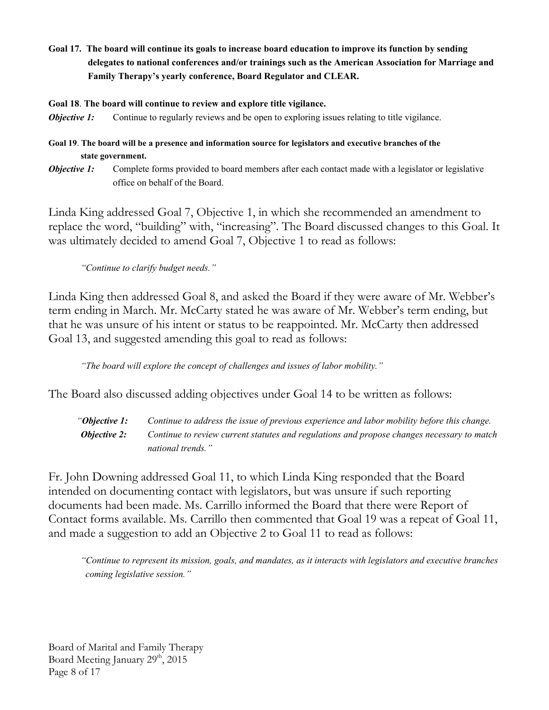**Goal 17. The board will continue its goals to increase board education to improve its function by sending delegates to national conferences and/or trainings such as the American Association for Marriage and Family Therapy's yearly conference, Board Regulator and CLEAR.**

**Goal 18**. **The board will continue to review and explore title vigilance.**

*Objective 1:* Continue to regularly reviews and be open to exploring issues relating to title vigilance.

**Goal 19**. **The board will be a presence and information source for legislators and executive branches of the state government.** 

*Objective 1:* Complete forms provided to board members after each contact made with a legislator or legislative office on behalf of the Board.

Linda King addressed Goal 7, Objective 1, in which she recommended an amendment to replace the word, "building" with, "increasing". The Board discussed changes to this Goal. It was ultimately decided to amend Goal 7, Objective 1 to read as follows:

*"Continue to clarify budget needs."*

Linda King then addressed Goal 8, and asked the Board if they were aware of Mr. Webber's term ending in March. Mr. McCarty stated he was aware of Mr. Webber's term ending, but that he was unsure of his intent or status to be reappointed. Mr. McCarty then addressed Goal 13, and suggested amending this goal to read as follows:

*"The board will explore the concept of challenges and issues of labor mobility."*

The Board also discussed adding objectives under Goal 14 to be written as follows:

 *"Objective 1: Continue to address the issue of previous experience and labor mobility before this change. Objective 2: Continue to review current statutes and regulations and propose changes necessary to match national trends."*

Fr. John Downing addressed Goal 11, to which Linda King responded that the Board intended on documenting contact with legislators, but was unsure if such reporting documents had been made. Ms. Carrillo informed the Board that there were Report of Contact forms available. Ms. Carrillo then commented that Goal 19 was a repeat of Goal 11, and made a suggestion to add an Objective 2 to Goal 11 to read as follows:

*"Continue to represent its mission, goals, and mandates, as it interacts with legislators and executive branches coming legislative session."*

Board of Marital and Family Therapy Board Meeting January  $29<sup>th</sup>$ ,  $2015$ Page 8 of 17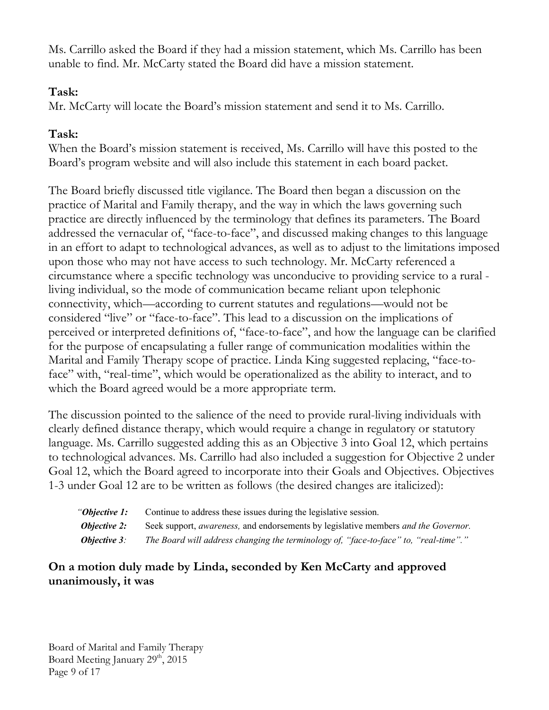Ms. Carrillo asked the Board if they had a mission statement, which Ms. Carrillo has been unable to find. Mr. McCarty stated the Board did have a mission statement.

## **Task:**

Mr. McCarty will locate the Board's mission statement and send it to Ms. Carrillo.

# **Task:**

When the Board's mission statement is received, Ms. Carrillo will have this posted to the Board's program website and will also include this statement in each board packet.

The Board briefly discussed title vigilance. The Board then began a discussion on the practice of Marital and Family therapy, and the way in which the laws governing such practice are directly influenced by the terminology that defines its parameters. The Board addressed the vernacular of, "face-to-face", and discussed making changes to this language in an effort to adapt to technological advances, as well as to adjust to the limitations imposed upon those who may not have access to such technology. Mr. McCarty referenced a circumstance where a specific technology was unconducive to providing service to a rural living individual, so the mode of communication became reliant upon telephonic connectivity, which—according to current statutes and regulations—would not be considered "live" or "face-to-face". This lead to a discussion on the implications of perceived or interpreted definitions of, "face-to-face", and how the language can be clarified for the purpose of encapsulating a fuller range of communication modalities within the Marital and Family Therapy scope of practice. Linda King suggested replacing, "face-toface" with, "real-time", which would be operationalized as the ability to interact, and to which the Board agreed would be a more appropriate term.

The discussion pointed to the salience of the need to provide rural-living individuals with clearly defined distance therapy, which would require a change in regulatory or statutory language. Ms. Carrillo suggested adding this as an Objective 3 into Goal 12, which pertains to technological advances. Ms. Carrillo had also included a suggestion for Objective 2 under Goal 12, which the Board agreed to incorporate into their Goals and Objectives. Objectives 1-3 under Goal 12 are to be written as follows (the desired changes are italicized):

| "Objective 1:       | Continue to address these issues during the legislative session.                                   |
|---------------------|----------------------------------------------------------------------------------------------------|
| <b>Objective 2:</b> | Seek support, <i>awareness</i> , and endorsements by legislative members <i>and the Governor</i> . |
| <b>Objective 3:</b> | The Board will address changing the terminology of, "face-to-face" to, "real-time"."               |

## **On a motion duly made by Linda, seconded by Ken McCarty and approved unanimously, it was**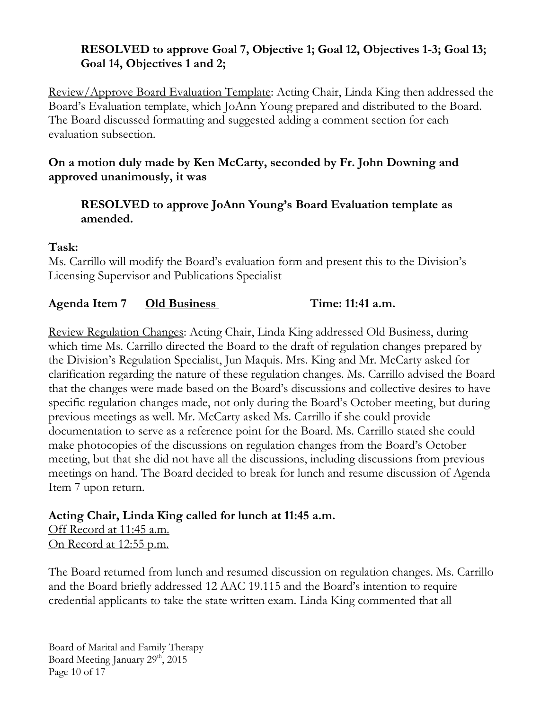# **RESOLVED to approve Goal 7, Objective 1; Goal 12, Objectives 1-3; Goal 13; Goal 14, Objectives 1 and 2;**

Review/Approve Board Evaluation Template: Acting Chair, Linda King then addressed the Board's Evaluation template, which JoAnn Young prepared and distributed to the Board. The Board discussed formatting and suggested adding a comment section for each evaluation subsection.

## **On a motion duly made by Ken McCarty, seconded by Fr. John Downing and approved unanimously, it was**

## **RESOLVED to approve JoAnn Young's Board Evaluation template as amended.**

### **Task:**

Ms. Carrillo will modify the Board's evaluation form and present this to the Division's Licensing Supervisor and Publications Specialist

# **Agenda Item 7 Old Business Time: 11:41 a.m.**

Review Regulation Changes: Acting Chair, Linda King addressed Old Business, during which time Ms. Carrillo directed the Board to the draft of regulation changes prepared by the Division's Regulation Specialist, Jun Maquis. Mrs. King and Mr. McCarty asked for clarification regarding the nature of these regulation changes. Ms. Carrillo advised the Board that the changes were made based on the Board's discussions and collective desires to have specific regulation changes made, not only during the Board's October meeting, but during previous meetings as well. Mr. McCarty asked Ms. Carrillo if she could provide documentation to serve as a reference point for the Board. Ms. Carrillo stated she could make photocopies of the discussions on regulation changes from the Board's October meeting, but that she did not have all the discussions, including discussions from previous meetings on hand. The Board decided to break for lunch and resume discussion of Agenda Item 7 upon return.

# **Acting Chair, Linda King called for lunch at 11:45 a.m.**

Off Record at 11:45 a.m. On Record at 12:55 p.m.

The Board returned from lunch and resumed discussion on regulation changes. Ms. Carrillo and the Board briefly addressed 12 AAC 19.115 and the Board's intention to require credential applicants to take the state written exam. Linda King commented that all

Board of Marital and Family Therapy Board Meeting January  $29<sup>th</sup>$ ,  $2015$ Page 10 of 17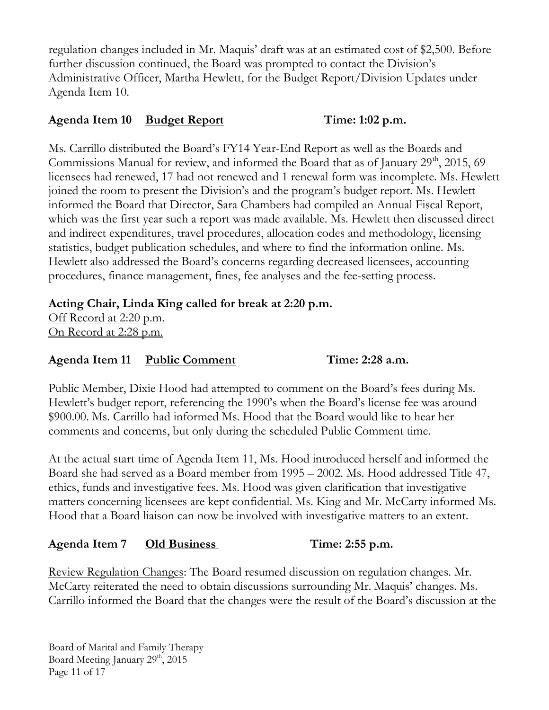regulation changes included in Mr. Maquis' draft was at an estimated cost of \$2,500. Before further discussion continued, the Board was prompted to contact the Division's Administrative Officer, Martha Hewlett, for the Budget Report/Division Updates under Agenda Item 10.

#### **Agenda Item 10 Budget Report Time: 1:02 p.m.**

Ms. Carrillo distributed the Board's FY14 Year-End Report as well as the Boards and Commissions Manual for review, and informed the Board that as of January  $29<sup>th</sup>$ ,  $2015$ , 69 licensees had renewed, 17 had not renewed and 1 renewal form was incomplete. Ms. Hewlett joined the room to present the Division's and the program's budget report. Ms. Hewlett informed the Board that Director, Sara Chambers had compiled an Annual Fiscal Report, which was the first year such a report was made available. Ms. Hewlett then discussed direct and indirect expenditures, travel procedures, allocation codes and methodology, licensing statistics, budget publication schedules, and where to find the information online. Ms. Hewlett also addressed the Board's concerns regarding decreased licensees, accounting procedures, finance management, fines, fee analyses and the fee-setting process.

# **Acting Chair, Linda King called for break at 2:20 p.m.**

Off Record at 2:20 p.m. On Record at 2:28 p.m.

**Agenda Item 11 Public Comment Time: 2:28 a.m.**

Public Member, Dixie Hood had attempted to comment on the Board's fees during Ms. Hewlett's budget report, referencing the 1990's when the Board's license fee was around \$900.00. Ms. Carrillo had informed Ms. Hood that the Board would like to hear her comments and concerns, but only during the scheduled Public Comment time.

At the actual start time of Agenda Item 11, Ms. Hood introduced herself and informed the Board she had served as a Board member from 1995 – 2002. Ms. Hood addressed Title 47, ethics, funds and investigative fees. Ms. Hood was given clarification that investigative matters concerning licensees are kept confidential. Ms. King and Mr. McCarty informed Ms. Hood that a Board liaison can now be involved with investigative matters to an extent.

# **Agenda Item 7 Old Business Time: 2:55 p.m.**

Review Regulation Changes: The Board resumed discussion on regulation changes. Mr. McCarty reiterated the need to obtain discussions surrounding Mr. Maquis' changes. Ms. Carrillo informed the Board that the changes were the result of the Board's discussion at the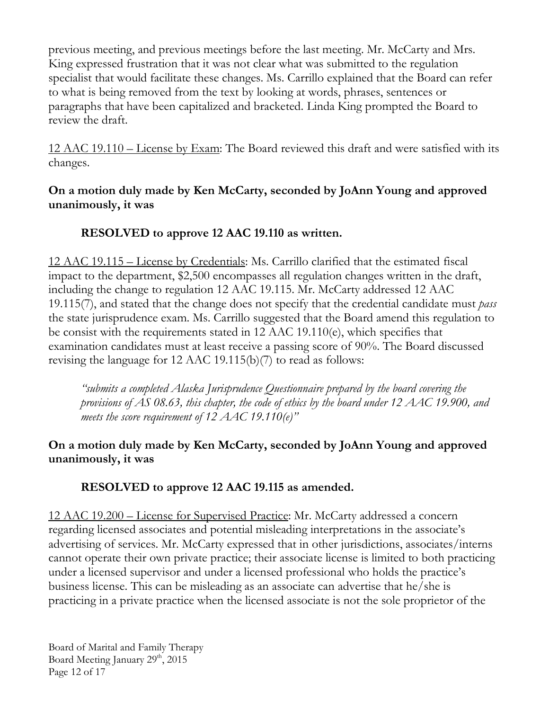previous meeting, and previous meetings before the last meeting. Mr. McCarty and Mrs. King expressed frustration that it was not clear what was submitted to the regulation specialist that would facilitate these changes. Ms. Carrillo explained that the Board can refer to what is being removed from the text by looking at words, phrases, sentences or paragraphs that have been capitalized and bracketed. Linda King prompted the Board to review the draft.

12 AAC 19.110 – License by Exam: The Board reviewed this draft and were satisfied with its changes.

# **On a motion duly made by Ken McCarty, seconded by JoAnn Young and approved unanimously, it was**

# **RESOLVED to approve 12 AAC 19.110 as written.**

12 AAC 19.115 – License by Credentials: Ms. Carrillo clarified that the estimated fiscal impact to the department, \$2,500 encompasses all regulation changes written in the draft, including the change to regulation 12 AAC 19.115. Mr. McCarty addressed 12 AAC 19.115(7), and stated that the change does not specify that the credential candidate must *pass*  the state jurisprudence exam. Ms. Carrillo suggested that the Board amend this regulation to be consist with the requirements stated in 12 AAC 19.110(e), which specifies that examination candidates must at least receive a passing score of 90%. The Board discussed revising the language for 12 AAC 19.115(b)(7) to read as follows:

*"submits a completed Alaska Jurisprudence Questionnaire prepared by the board covering the provisions of AS 08.63, this chapter, the code of ethics by the board under 12 AAC 19.900, and meets the score requirement of 12 AAC 19.110(e)"* 

# **On a motion duly made by Ken McCarty, seconded by JoAnn Young and approved unanimously, it was**

# **RESOLVED to approve 12 AAC 19.115 as amended.**

12 AAC 19.200 – License for Supervised Practice: Mr. McCarty addressed a concern regarding licensed associates and potential misleading interpretations in the associate's advertising of services. Mr. McCarty expressed that in other jurisdictions, associates/interns cannot operate their own private practice; their associate license is limited to both practicing under a licensed supervisor and under a licensed professional who holds the practice's business license. This can be misleading as an associate can advertise that he/she is practicing in a private practice when the licensed associate is not the sole proprietor of the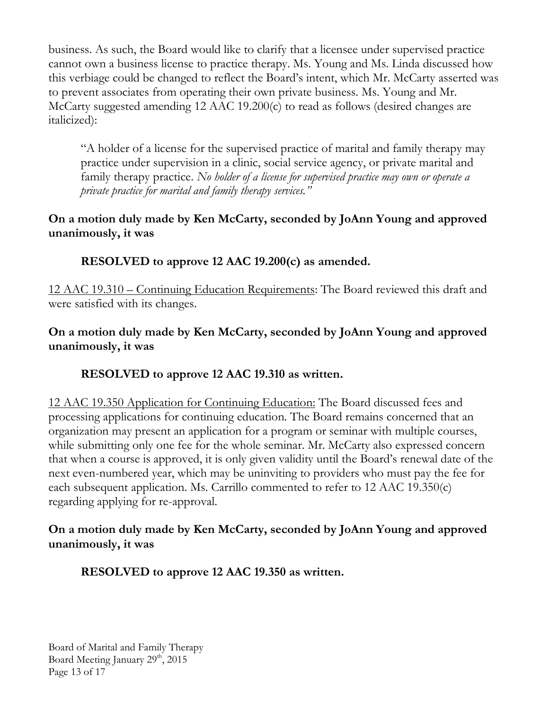business. As such, the Board would like to clarify that a licensee under supervised practice cannot own a business license to practice therapy. Ms. Young and Ms. Linda discussed how this verbiage could be changed to reflect the Board's intent, which Mr. McCarty asserted was to prevent associates from operating their own private business. Ms. Young and Mr. McCarty suggested amending 12 AAC 19.200(c) to read as follows (desired changes are italicized):

"A holder of a license for the supervised practice of marital and family therapy may practice under supervision in a clinic, social service agency, or private marital and family therapy practice. *No holder of a license for supervised practice may own or operate a private practice for marital and family therapy services."*

## **On a motion duly made by Ken McCarty, seconded by JoAnn Young and approved unanimously, it was**

**RESOLVED to approve 12 AAC 19.200(c) as amended.**

12 AAC 19.310 – Continuing Education Requirements: The Board reviewed this draft and were satisfied with its changes.

## **On a motion duly made by Ken McCarty, seconded by JoAnn Young and approved unanimously, it was**

# **RESOLVED to approve 12 AAC 19.310 as written.**

12 AAC 19.350 Application for Continuing Education: The Board discussed fees and processing applications for continuing education. The Board remains concerned that an organization may present an application for a program or seminar with multiple courses, while submitting only one fee for the whole seminar. Mr. McCarty also expressed concern that when a course is approved, it is only given validity until the Board's renewal date of the next even-numbered year, which may be uninviting to providers who must pay the fee for each subsequent application. Ms. Carrillo commented to refer to 12 AAC 19.350(c) regarding applying for re-approval.

## **On a motion duly made by Ken McCarty, seconded by JoAnn Young and approved unanimously, it was**

**RESOLVED to approve 12 AAC 19.350 as written.**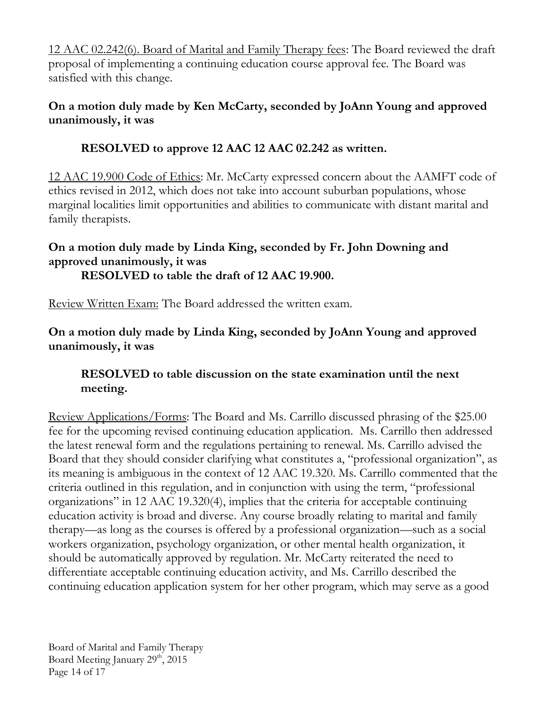12 AAC 02.242(6). Board of Marital and Family Therapy fees: The Board reviewed the draft proposal of implementing a continuing education course approval fee. The Board was satisfied with this change.

# **On a motion duly made by Ken McCarty, seconded by JoAnn Young and approved unanimously, it was**

# **RESOLVED to approve 12 AAC 12 AAC 02.242 as written.**

12 AAC 19.900 Code of Ethics: Mr. McCarty expressed concern about the AAMFT code of ethics revised in 2012, which does not take into account suburban populations, whose marginal localities limit opportunities and abilities to communicate with distant marital and family therapists.

# **On a motion duly made by Linda King, seconded by Fr. John Downing and approved unanimously, it was**

# **RESOLVED to table the draft of 12 AAC 19.900.**

Review Written Exam: The Board addressed the written exam.

**On a motion duly made by Linda King, seconded by JoAnn Young and approved unanimously, it was**

# **RESOLVED to table discussion on the state examination until the next meeting.**

Review Applications/Forms: The Board and Ms. Carrillo discussed phrasing of the \$25.00 fee for the upcoming revised continuing education application. Ms. Carrillo then addressed the latest renewal form and the regulations pertaining to renewal. Ms. Carrillo advised the Board that they should consider clarifying what constitutes a, "professional organization", as its meaning is ambiguous in the context of 12 AAC 19.320. Ms. Carrillo commented that the criteria outlined in this regulation, and in conjunction with using the term, "professional organizations" in 12 AAC 19.320(4), implies that the criteria for acceptable continuing education activity is broad and diverse. Any course broadly relating to marital and family therapy—as long as the courses is offered by a professional organization—such as a social workers organization, psychology organization, or other mental health organization, it should be automatically approved by regulation. Mr. McCarty reiterated the need to differentiate acceptable continuing education activity, and Ms. Carrillo described the continuing education application system for her other program, which may serve as a good

Board of Marital and Family Therapy Board Meeting January 29<sup>th</sup>, 2015 Page 14 of 17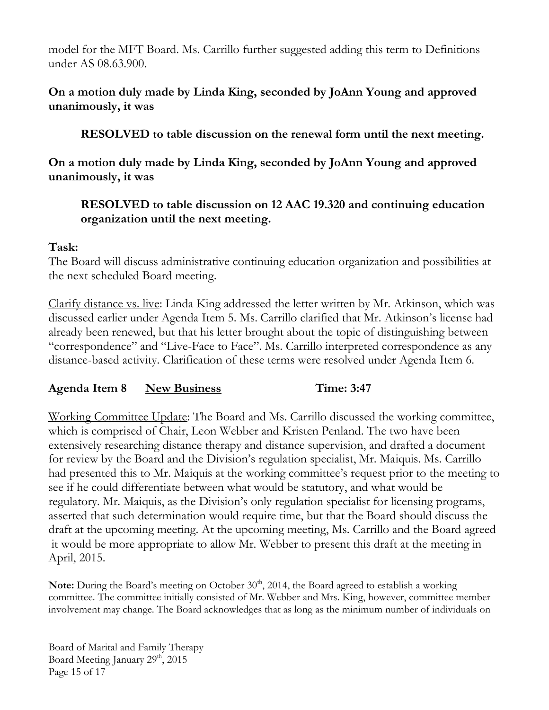model for the MFT Board. Ms. Carrillo further suggested adding this term to Definitions under AS 08.63.900.

## **On a motion duly made by Linda King, seconded by JoAnn Young and approved unanimously, it was**

**RESOLVED to table discussion on the renewal form until the next meeting.**

**On a motion duly made by Linda King, seconded by JoAnn Young and approved unanimously, it was**

## **RESOLVED to table discussion on 12 AAC 19.320 and continuing education organization until the next meeting.**

### **Task:**

The Board will discuss administrative continuing education organization and possibilities at the next scheduled Board meeting.

Clarify distance vs. live: Linda King addressed the letter written by Mr. Atkinson, which was discussed earlier under Agenda Item 5. Ms. Carrillo clarified that Mr. Atkinson's license had already been renewed, but that his letter brought about the topic of distinguishing between "correspondence" and "Live-Face to Face". Ms. Carrillo interpreted correspondence as any distance-based activity. Clarification of these terms were resolved under Agenda Item 6.

# **Agenda Item 8 New Business Time: 3:47**

Working Committee Update: The Board and Ms. Carrillo discussed the working committee, which is comprised of Chair, Leon Webber and Kristen Penland. The two have been extensively researching distance therapy and distance supervision, and drafted a document for review by the Board and the Division's regulation specialist, Mr. Maiquis. Ms. Carrillo had presented this to Mr. Maiquis at the working committee's request prior to the meeting to see if he could differentiate between what would be statutory, and what would be regulatory. Mr. Maiquis, as the Division's only regulation specialist for licensing programs, asserted that such determination would require time, but that the Board should discuss the draft at the upcoming meeting. At the upcoming meeting, Ms. Carrillo and the Board agreed it would be more appropriate to allow Mr. Webber to present this draft at the meeting in April, 2015.

Note: During the Board's meeting on October 30<sup>th</sup>, 2014, the Board agreed to establish a working committee. The committee initially consisted of Mr. Webber and Mrs. King, however, committee member involvement may change. The Board acknowledges that as long as the minimum number of individuals on

Board of Marital and Family Therapy Board Meeting January 29<sup>th</sup>, 2015 Page 15 of 17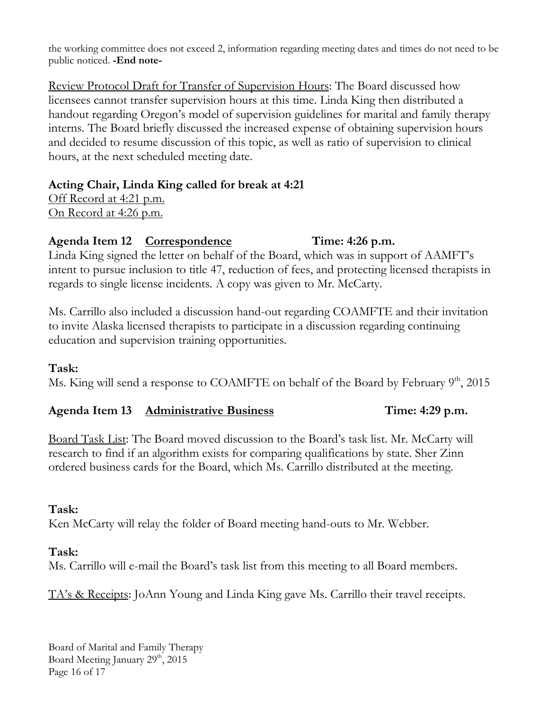the working committee does not exceed 2, information regarding meeting dates and times do not need to be public noticed. **-End note-**

Review Protocol Draft for Transfer of Supervision Hours: The Board discussed how licensees cannot transfer supervision hours at this time. Linda King then distributed a handout regarding Oregon's model of supervision guidelines for marital and family therapy interns. The Board briefly discussed the increased expense of obtaining supervision hours and decided to resume discussion of this topic, as well as ratio of supervision to clinical hours, at the next scheduled meeting date.

# **Acting Chair, Linda King called for break at 4:21**

Off Record at 4:21 p.m. On Record at 4:26 p.m.

# **Agenda Item 12 Correspondence Time: 4:26 p.m.**

Linda King signed the letter on behalf of the Board, which was in support of AAMFT's intent to pursue inclusion to title 47, reduction of fees, and protecting licensed therapists in regards to single license incidents. A copy was given to Mr. McCarty.

Ms. Carrillo also included a discussion hand-out regarding COAMFTE and their invitation to invite Alaska licensed therapists to participate in a discussion regarding continuing education and supervision training opportunities.

# **Task:**

Ms. King will send a response to COAMFTE on behalf of the Board by February  $9<sup>th</sup>$ , 2015

# **Agenda Item 13 Administrative Business Time: 4:29 p.m.**

Board Task List: The Board moved discussion to the Board's task list. Mr. McCarty will research to find if an algorithm exists for comparing qualifications by state. Sher Zinn ordered business cards for the Board, which Ms. Carrillo distributed at the meeting.

# **Task:**

Ken McCarty will relay the folder of Board meeting hand-outs to Mr. Webber.

# **Task:**

Ms. Carrillo will e-mail the Board's task list from this meeting to all Board members.

TA's & Receipts: JoAnn Young and Linda King gave Ms. Carrillo their travel receipts.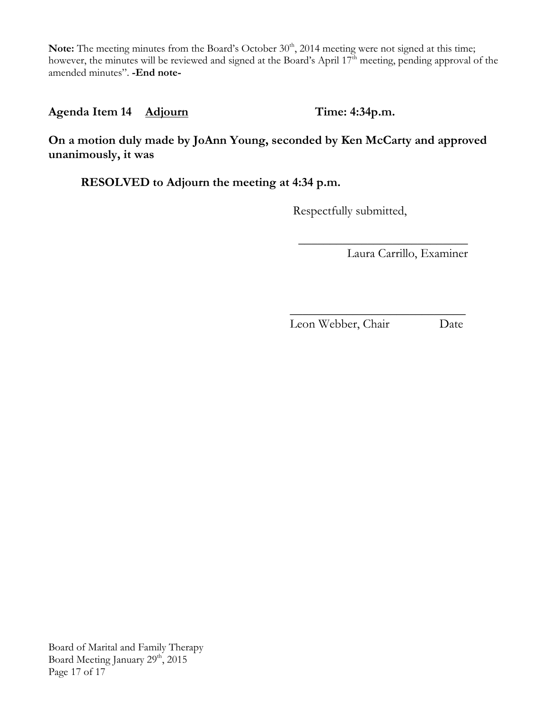Note: The meeting minutes from the Board's October 30<sup>th</sup>, 2014 meeting were not signed at this time; however, the minutes will be reviewed and signed at the Board's April 17<sup>th</sup> meeting, pending approval of the amended minutes". **-End note-**

Agenda Item 14 Adjourn Time: 4:34p.m.

**On a motion duly made by JoAnn Young, seconded by Ken McCarty and approved unanimously, it was**

**RESOLVED to Adjourn the meeting at 4:34 p.m.**

Respectfully submitted,

 $\mathcal{L}_\text{max}$  and  $\mathcal{L}_\text{max}$  and  $\mathcal{L}_\text{max}$  and  $\mathcal{L}_\text{max}$  and  $\mathcal{L}_\text{max}$ 

Laura Carrillo, Examiner

 $\mathcal{L}_\text{max}$  and  $\mathcal{L}_\text{max}$  and  $\mathcal{L}_\text{max}$  and  $\mathcal{L}_\text{max}$  and  $\mathcal{L}_\text{max}$ Leon Webber, Chair Date